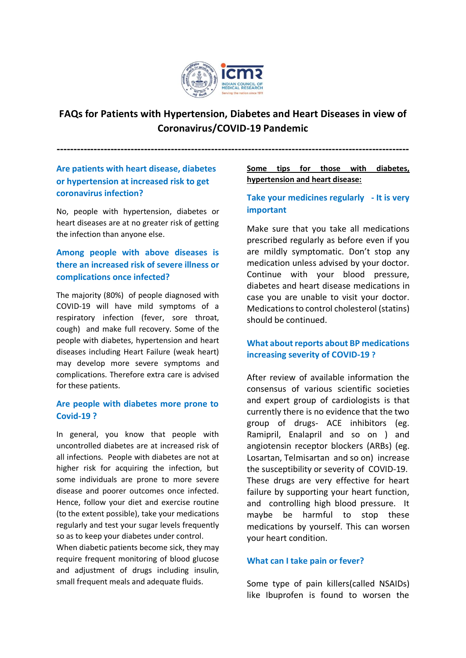

# **FAQs for Patients with Hypertension, Diabetes and Heart Diseases in view of Coronavirus/COVID-19 Pandemic**

**---------------------------------------------------------------------------------------------------------**

**Are patients with heart disease, diabetes or hypertension at increased risk to get coronavirus infection?**

No, people with hypertension, diabetes or heart diseases are at no greater risk of getting the infection than anyone else.

# **Among people with above diseases is there an increased risk of severe illness or complications once infected?**

The majority (80%) of people diagnosed with COVID-19 will have mild symptoms of a respiratory infection (fever, sore throat, cough) and make full recovery. Some of the people with diabetes, hypertension and heart diseases including Heart Failure (weak heart) may develop more severe symptoms and complications. Therefore extra care is advised for these patients.

#### **Are people with diabetes more prone to Covid-19 ?**

In general, you know that people with uncontrolled diabetes are at increased risk of all infections. People with diabetes are not at higher risk for acquiring the infection, but some individuals are prone to more severe disease and poorer outcomes once infected. Hence, follow your diet and exercise routine (to the extent possible), take your medications regularly and test your sugar levels frequently so as to keep your diabetes under control.

When diabetic patients become sick, they may require frequent monitoring of blood glucose and adjustment of drugs including insulin, small frequent meals and adequate fluids.

### **Some tips for those with diabetes, hypertension and heart disease:**

## **Take your medicines regularly - It is very important**

Make sure that you take all medications prescribed regularly as before even if you are mildly symptomatic. Don't stop any medication unless advised by your doctor. Continue with your blood pressure, diabetes and heart disease medications in case you are unable to visit your doctor. Medications to control cholesterol (statins) should be continued.

## **What about reports about BP medications increasing severity of COVID-19 ?**

After review of available information the consensus of various scientific societies and expert group of cardiologists is that currently there is no evidence that the two group of drugs- ACE inhibitors (eg. Ramipril, Enalapril and so on ) and angiotensin receptor blockers (ARBs) (eg. Losartan, Telmisartan and so on) increase the susceptibility or severity of COVID-19. These drugs are very effective for heart failure by supporting your heart function, and controlling high blood pressure. It maybe be harmful to stop these medications by yourself. This can worsen your heart condition.

#### **What can I take pain or fever?**

Some type of pain killers(called NSAIDs) like Ibuprofen is found to worsen the